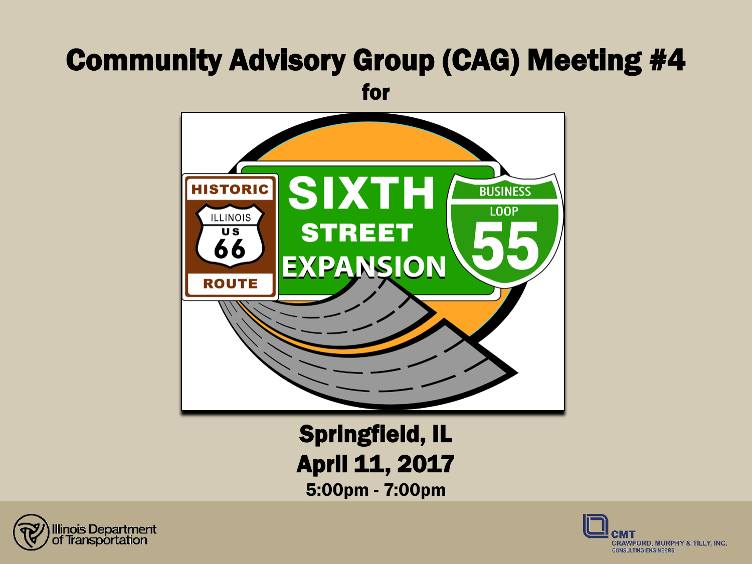#### Community Advisory Group (CAG) Meeting #4 for



Springfield, IL April 11, 2017 5:00pm - 7:00pm



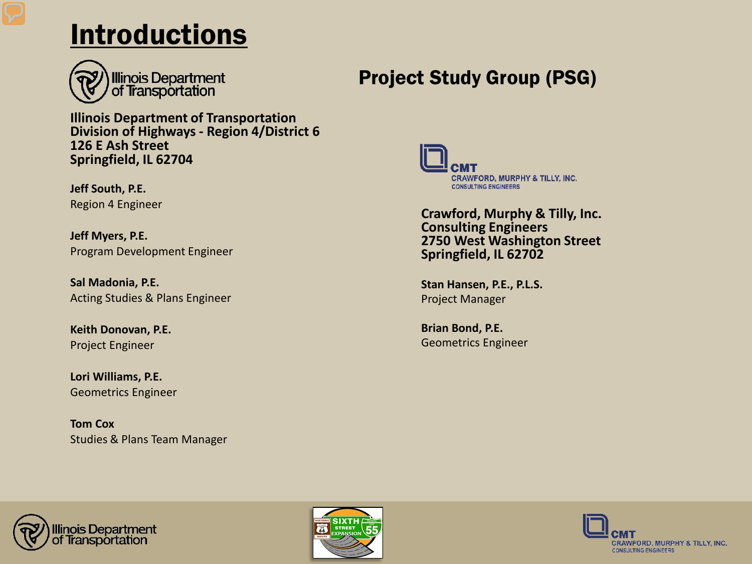#### **Introductions**



Illinois Department<br>of Transportation

**Illinois Department of Transportation Division of Highways - Region 4/District 6 126 E Ash Street Springfield, IL 62704**

**Jeff South, P.E.** Region 4 Engineer

**Jeff Myers, P.E.** Program Development Engineer

**Sal Madonia, P.E.** Acting Studies & Plans Engineer

**Keith Donovan, P.E.** Project Engineer

**Lori Williams, P.E.** Geometrics Engineer

**Tom Cox** Studies & Plans Team Manager

#### Project Study Group (PSG)



**Crawford, Murphy & Tilly, Inc. Consulting Engineers 2750 West Washington Street Springfield, IL 62702**

**Stan Hansen, P.E., P.L.S.** Project Manager

**Brian Bond, P.E.** Geometrics Engineer





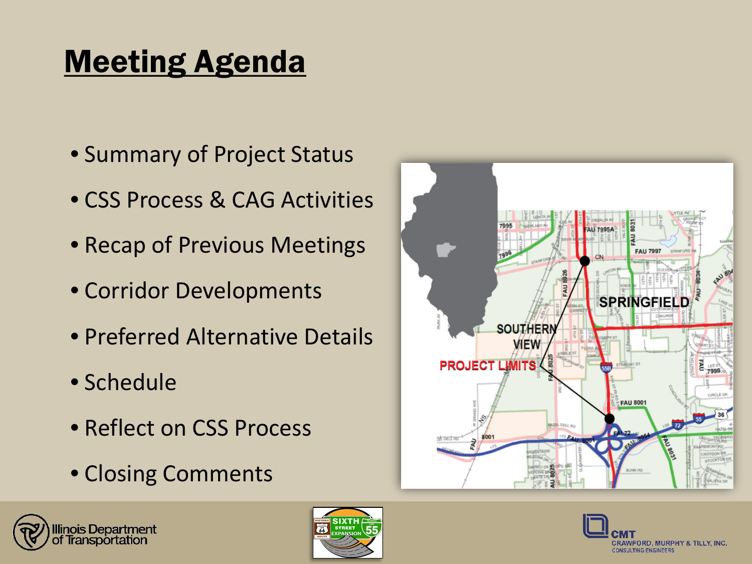### Meeting Agenda

- Summary of Project Status
- CSS Process & CAG Activities
- Recap of Previous Meetings
- Corridor Developments
- Preferred Alternative Details
- Schedule
- Reflect on CSS Process
- Closing Comments







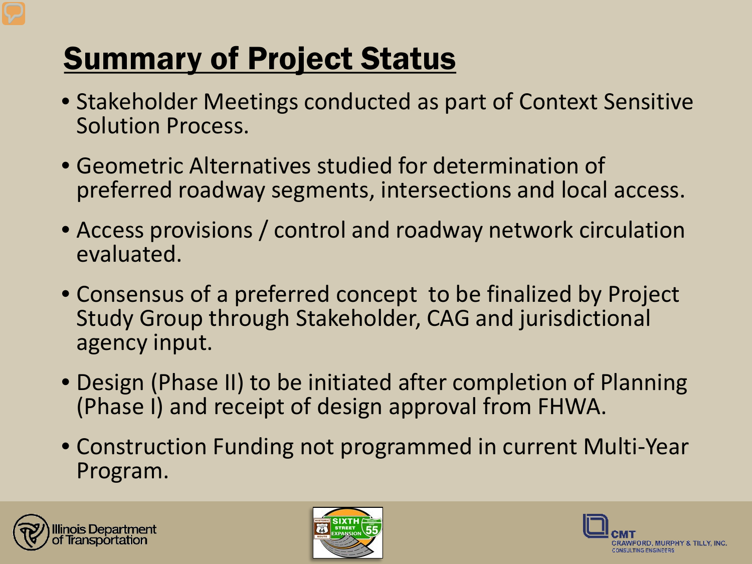# **Summary of Project Status**

- Stakeholder Meetings conducted as part of Context Sensitive Solution Process.
- Geometric Alternatives studied for determination of preferred roadway segments, intersections and local access.
- Access provisions / control and roadway network circulation evaluated.
- Consensus of a preferred concept to be finalized by Project Study Group through Stakeholder, CAG and jurisdictional agency input.
- Design (Phase II) to be initiated after completion of Planning (Phase I) and receipt of design approval from FHWA.
- Construction Funding not programmed in current Multi-Year Program.





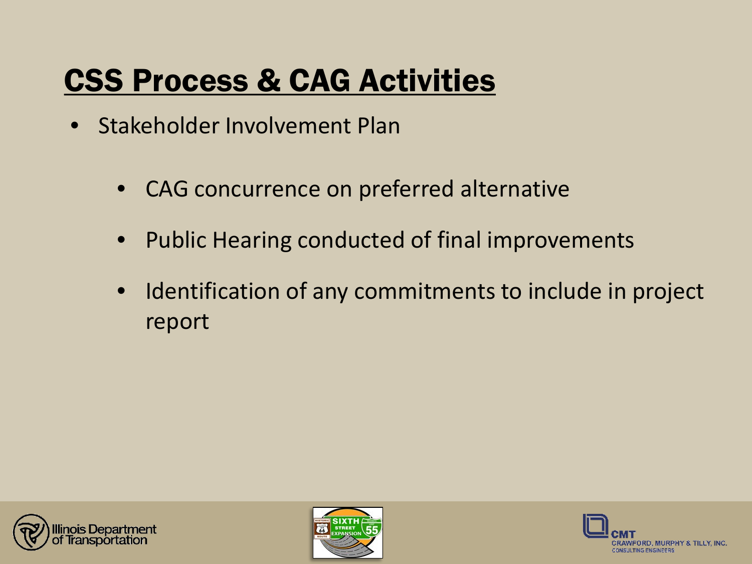#### CSS Process & CAG Activities

- Stakeholder Involvement Plan
	- CAG concurrence on preferred alternative
	- Public Hearing conducted of final improvements
	- Identification of any commitments to include in project report





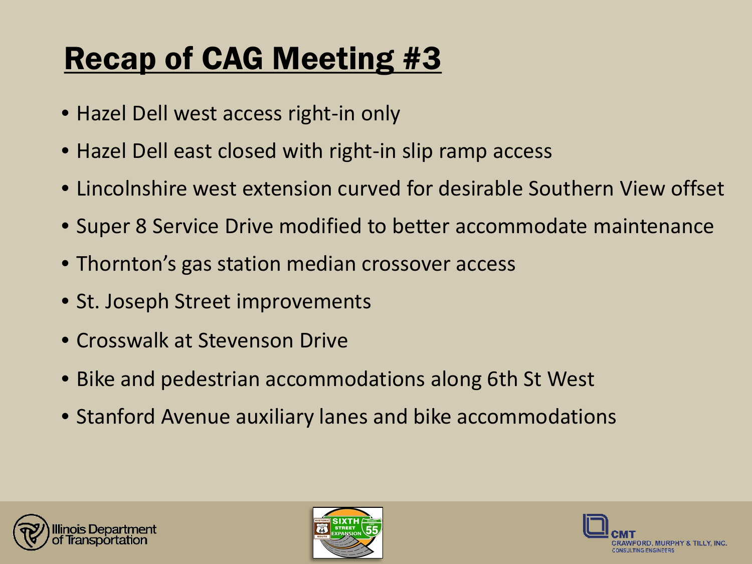## Recap of CAG Meeting #3

- Hazel Dell west access right-in only
- Hazel Dell east closed with right-in slip ramp access
- Lincolnshire west extension curved for desirable Southern View offset
- Super 8 Service Drive modified to better accommodate maintenance
- Thornton's gas station median crossover access
- St. Joseph Street improvements
- Crosswalk at Stevenson Drive
- Bike and pedestrian accommodations along 6th St West
- Stanford Avenue auxiliary lanes and bike accommodations





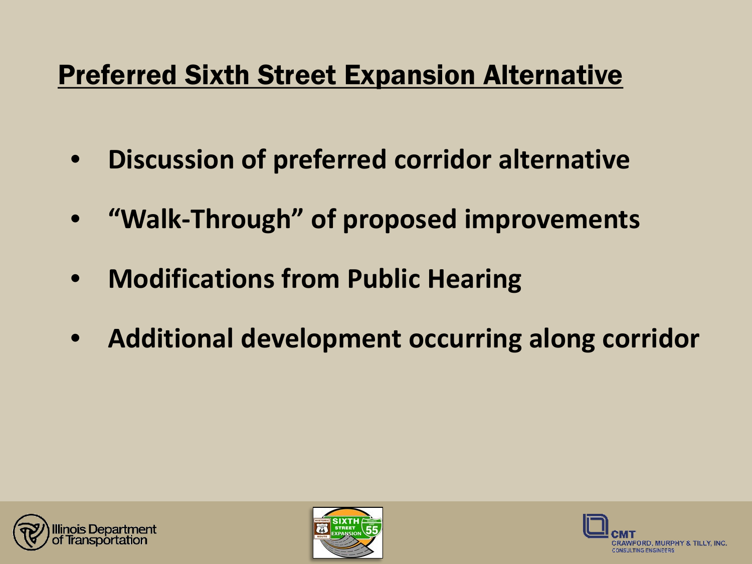#### Preferred Sixth Street Expansion Alternative

- **Discussion of preferred corridor alternative**
- **"Walk-Through" of proposed improvements**
- **Modifications from Public Hearing**
- **Additional development occurring along corridor**





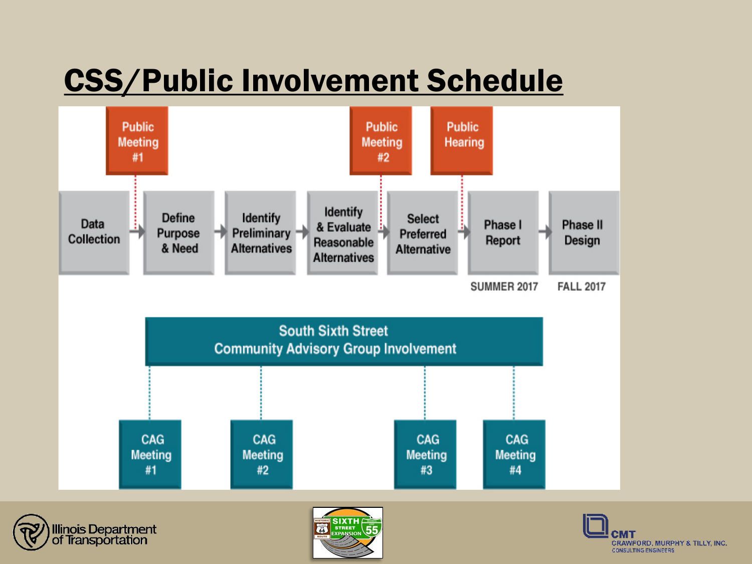#### CSS/Public Involvement Schedule



**CRAWFORD, MURPHY & TILLY, INC. CONSULTING ENGINEERS**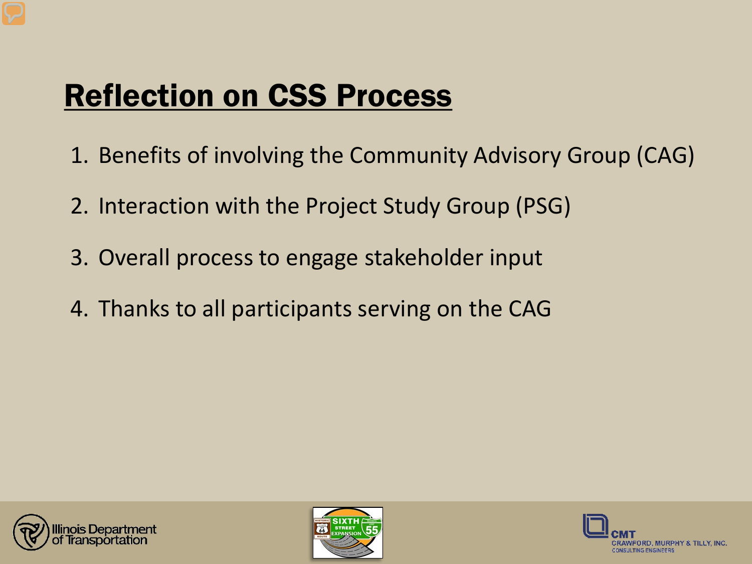#### Reflection on CSS Process

- 1. Benefits of involving the Community Advisory Group (CAG)
- 2. Interaction with the Project Study Group (PSG)
- 3. Overall process to engage stakeholder input
- 4. Thanks to all participants serving on the CAG